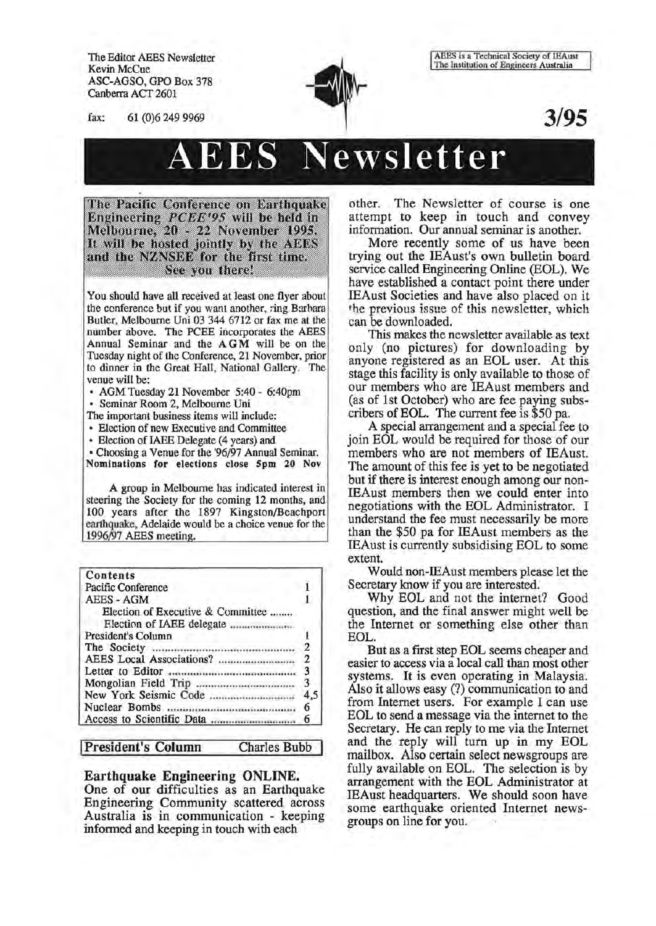The Editor AEES Newsletter Kevin McCue ASC-AGSO, GPO Box 378 Canberra ACT 2601

fax: 61 (0)6 249 9969



AEES is a Technical Society of lEAust The Institution of Engineers Australia

**3/95** 

# AEES **Newsletter**

The Pacific Conference on Earthquake Engineering *PCEE'95* will be held in<br>Melbourne, 20 - 22 November 1995. It will be hosted jointly by the AEES and the NZNSEE for the first time. See you there!

You should have all received at least one flyer about the conference but if you want another, ring Barbara Butler, Melbourne Uni 03 344 6712 or fax me at the number above. The PCEE incorporates the AEES Annual Seminar and the AGM will be on the Tuesday night of the Conference, 21 November, prior to dinner in the Great Hall, National Gallery. The venue will be:

• AGM Tuesday 21 November 5:40- 6:40pm • Seminar Room 2, Melbourne Uni

The important business items will include:

• Election of new Executive and Committee

• Election of IAEE Delegate (4 years) and

• Choosing a Venue for the '96/97 Annual Seminar. Nominations for elections close Spm 20 Nov

A groop in Melbourne has indicated interest in steering the Society for the coming 12 months, and 100 years after the 1897 Kingston/Beachport earthquake, Adelaide would be a choice venue for the 1996/97 AEES meeting.

| <b>Contents</b>                   |     |
|-----------------------------------|-----|
| Pacific Conference                |     |
| AEES - AGM                        |     |
| Election of Executive & Committee |     |
| Election of IAEE delegate         |     |
| President's Column                |     |
|                                   |     |
|                                   | 2   |
|                                   |     |
|                                   | 3   |
|                                   | 4.5 |
|                                   | 6   |
|                                   |     |

#### President's Column Charles Bubb

#### Earthquake Engineering ONLINE.

One of our difficulties as an Earthquake Engineering Community scattered across Australia is in communication - keeping informed and keeping in touch with each

other. The Newsletter of course is one attempt to keep in touch and convey information. Our annual seminar is another.

More recently some of us have been trying out the IEAust's own bulletin board service called Engineering Online (EOL). We have established a contact point there under IEAust Societies and have also placed on it the previous issue of this newsletter, which can be downloaded.

This makes the newsletter available as text only (no pictures) for downloading by anyone registered as an EOL user. At this stage this facility is only available to those of our members who are IEAust members and (as of 1st October) who are fee paying subscribers of EOL. The current fee is \$50 pa.

A special arrangement and a special fee to join EOL would be required for those of our members who are not members of IEAust. The amount of this fee is yet to be negotiated but if there is interest enough among our non-IEAust members then we could enter into negotiations with the EOL Administrator. I understand the fee must necessarily be more than the \$50 pa for IEAust members as the IEAust is currently subsidising EOL to some extent.

Would non-IEAust members please let the Secretary know if you are interested.

Why EOL and not the internet? Good question, and the final answer might well be the Internet or something else other than EOL.

But as a first step EOL seems cheaper and easier to access via a local call than most other systems. It is even operating in Malaysia. Also it allows easy (?) communication to and from Internet users. For example I can use EOL to send a message via the internet to the Secretary. He can reply to me via the Internet and the reply will turn up in my EOL mailbox. Also certain select news groups are fully available on EOL. The selection is by arrangement with the EOL Administrator at IEAust headquarters. We should soon have some earthquake oriented Internet newsgroups on line for you.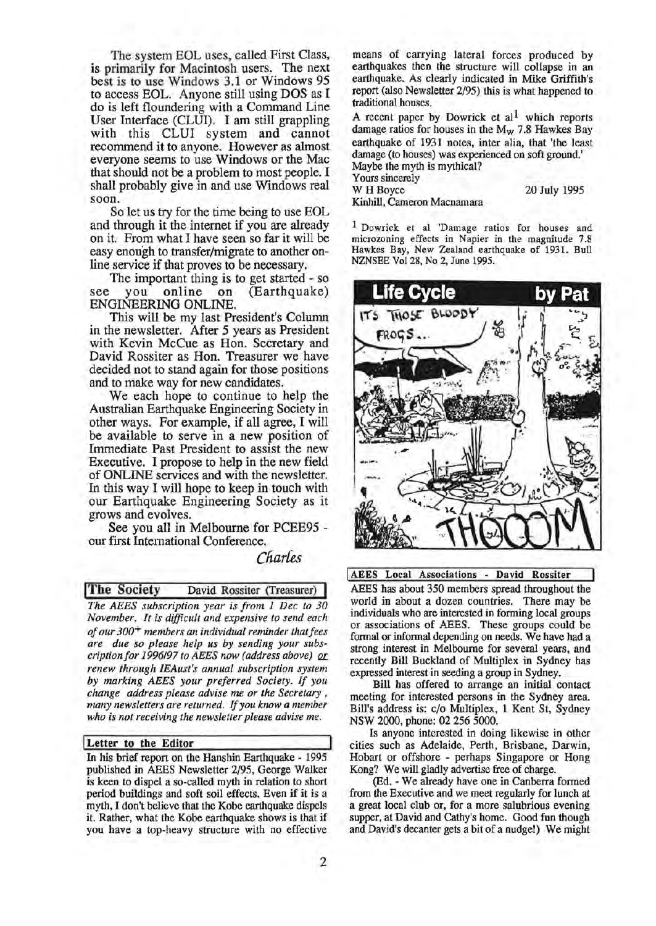The system EOL uses, called First Class, is primarily for Macintosh users. The next best is to use Windows 3.1 or Windows 95 to access EOL. Anyone still using DOS as I do is left floundering with a Command Line User Interface (CLUI). I am still grappling with this CLUI system and cannot recommend it to anyone. However as almost everyone seems to use Windows or the Mac that should not be a problem to most people. I shall probably give in and use Windows real soon.

So let us try for the time being to use EOL and through it the internet if you are already on it. From what I have seen so far it will be easy enough to transfer/migrate to another online service if that proves to be necessary.

The important thing is to get started - so<br>you online on (Earthquake) see you online on (Earthquake) ENGINEERING ONLINE.

This will be my last President's Column in the newsletter. After 5 years as President with Kevin McCue as Hon. Secretary and David Rossiter as Hon. Treasurer we have decided not to stand again for those positions and to make way for new candidates.

We each hope to continue to help the Australian Earthquake Engineering Society in other ways. For example, if all agree, I will be available to serve in a new position of Immediate Past President to assist the new Executive. I propose to help in the new field of ONLINE services and with the newsletter. In this way I will hope to keep in touch with our Earthquake Engineering Society as it grows and evolves.

See you all in Melbourne for PCEE95 our first International Conference.

# Cfiarfes

!The Society David Rossiter (Treasurer)

*The AEES subscription year is from 1 Dec to 30 November. It is difficult and expensive to send each of our 300+ members an individual reminder that fees are due so please help us by sending your subscriptionfor 1996197 to AEES now (address above) QL renew through IEAust's annual subscription system by marking AEES your preferred Society. If you change address please advise me or the Secretary* , *many newsletters are returned.* If *you know a member who is not receiving the newsletter please advise me.* 

#### Letter to the Editor

In his brief report on the Hanshin Earthquake - 1995 published in AEES Newsletter 2/95, George Walker is keen to dispel a so-called myth in relation to short period buildings and soft soil effects. Even if it is a myth, I don't believe that the Kobe earthquake dispels it. Rather, what the Kobe earthquake shows is that if you have a top-heavy structure with no effective means of carrying lateral forces produced by earthquakes then the structure will collapse in an earthquake. As clearly indicated in Mike Griffith's report (also Newsletter 2/95) this is what happened to traditional houses.

A recent paper by Dowrick et  $al<sup>1</sup>$  which reports damage ratios for houses in the  $M_W$  7.8 Hawkes Bay earthquake of 1931 notes, inter alia, that 'the least damage (to houses) was experienced on soft ground.' Maybe the myth is mythical? Yours sincerely<br>W H Boyce 20 July 1995

Kinhill, Cameron Macnamara

1 Dowrick et al 'Damage ratios for houses and microzoning effects in Napier in the magnitude 7.8 Hawkes Bay, New Zealand earthquake of 1931. Bull NZNSEE Vol28, No 2, June 1995.



AEES Local Associations - David Rossiter AEES has about 350 members spread throughout the world in about a dozen countries. There may be individuals who are interested in forming local groups or associations of AEES. These groups could be formal or informal depending on needs. We have had a strong interest in Melbourne for several years, and recently Bill Buckland of Multiplex in Sydney has expressed interest in seeding a group in Sydney.

Bill has offered to arrange an initial contact meeting for interested persons in the Sydney area. Bill's address is: c/o Multiplex, 1 Kent St, Sydney NSW 2000, phone: 02 256 5000.

Is anyone interested in doing likewise in other cities such as Adelaide, Perth, Brisbane, Darwin, Hobart or offshore - perhaps Singapore or Hong Kong? We will gladly advertise free of charge.

(Ed. - We already have one in Canberra formed from the Executive and we meet regularly for lunch at a great local club or, for a more salubrious evening supper, at David and Cathy's home. Good fun though and David's decanter gets a bit of a nudge!) We might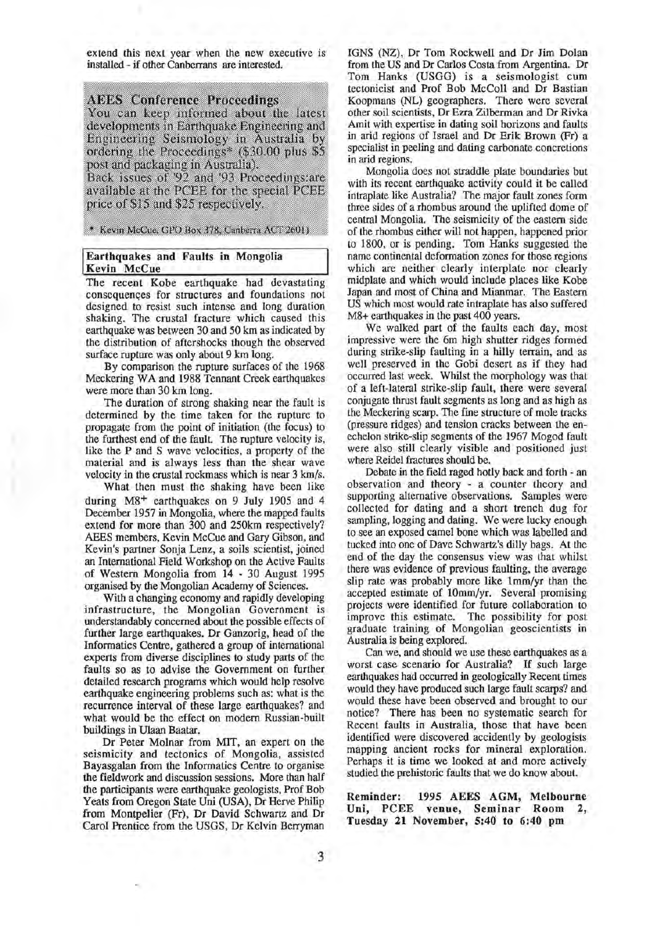extend this next year when the new executive is installed - if other Canberrans are interested.

#### **AEES** Conference Proceedings

You can keep informed about the latest developments in Earthquake Engineering and Engineering Seismology in Australia by ordering the Proceedings<sup>\*</sup> (\$30.00 plus \$5 post and packaging in Australia).

Back issues of '92 and '93 Proceedings: are available at the PCEE for the special PCEE price of \$15 and \$25 respectively.

\* Kevin McCue, GPO Box 378, Canberra ACT 2601)

#### Earthquakes and Faults in Mongolia Kevin McCue

The recent Kobe earthquake had devastating consequences for structures and foundations not designed to resist such intense and long duration shaking. The crustal fracture which caused this earthquake was between 30 and 50 km as indicated by the distribution of aftershocks though the observed surface rupture was only about 9 km long.

By comparison the rupture surfaces of the 1968 Meckering WA and 1988 Tennant Creek earthquakes were more than 30 km long.

The duration of strong shaking near the fault is determined by the time taken for the rupture to propagate from the point of initiation (the focus) to the furthest end of the fault. The rupture velocity is, like the P and S wave velocities, a property of the material and is always less than the shear wave velocity in the crustal rockmass which is near 3 km/s.

What then must the shaking have been like during M8<sup>+</sup> earthquakes on 9 July 1905 and 4 December 1957 in Mongolia, where the mapped faults extend for more than 300 and 250km respectively? AEES members, Kevin McCue and Gary Gibson, and Kevin's partner Sonja Lenz, a soils scientist, joined an International Field Workshop on the Active Faults of Western Mongolia from 14 - 30 August 1995 organised by the Mongolian Academy of Sciences.

With a changing economy and rapidly developing infrastructure, the Mongolian Government is understandably concerned about the possible effects of further large earthquakes. Dr Ganzorig, head of the Informatics Centre, gathered a group of international experts from diverse disciplines to study parts of the faults so as to advise the Government on further detailed research programs which would help resolve earthquake engineering problems such as: what is the recurrence interval of these large earthquakes? and what would be the effect on modem Russian-built buildings in Ulaan Baatar.

Dr Peter Molnar from MIT, an expert on the seismicity and tectonics of Mongolia, assisted Bayasgalan from the Informatics Centre to organise the fieldwork and discussion sessions. More than half the participants were earthquake geologists, Prof Bob Yeats from Oregon State Uni (USA), Dr Herve Philip from Montpelier (Fr), Dr David Schwartz and Dr Carol Prentice from the USGS, Dr Kelvin Berryman IGNS (NZ), Dr Tom Rockwell and Dr Jim Dolan from the US and Dr Carlos Costa from Argentina. Dr Tom Hanks (USGG) is a seismologist cum tectonicist and Prof Bob McColl and Dr Bastian Koopmans (NL) geographers. There were several other soil scientists, Dr Ezra Zilberman and Dr Rivka Amit with expertise in dating soil horizons and faults in arid regions of Israel and Dr Erik Brown (Fr) a specialist in peeling and dating carbonate concretions in arid regions.

Mongolia does not straddle plate boundaries but with its recent earthquake activity could it be called intraplate like Australia? The major fault zones form three sides of a rhombus around the uplifted dome of central Mongolia. The seismicity of the eastern side of the rhombus either will not happen, happened prior to 1800, or is pending. Tom Hanks suggested the name continental deformation zones for those regions which are neither clearly interplate nor clearly midplate and which would include places like Kobe Japan and most of China and Mianmar. The Eastern US which most would rate intraplate has also suffered M8+ earthquakes in the past 400 years.

We walked part of the faults each day, most impressive were the 6m high shutter ridges formed during strike-slip faulting in a hilly terrain, and as well preserved in the Gobi desert as if they had occurred last week. Whilst the morphology was that of a left-lateral strike-slip fault, there were several conjugate thrust fault segments as long and as high as the Meckering scarp. The fine structure of mole tracks (pressure ridges) and tension cracks between the enechelon strike-slip segments of the 1967 Mogod fault were also still clearly visible and positioned just where Reidel fractures should be.

Debate in the field raged hotly back and forth - an observation and theory - a counter theory and supporting alternative observations. Samples were collected for dating and a short trench dug for sampling, logging and dating. We were lucky enough to see an exposed camel bone which was labelled and tucked into one of Dave Schwartz's dilly bags. At the end of the day the consensus view was that whilst there was evidence of previous faulting, the average slip rate was probably more like 1mm/yr than the accepted estimate of 10mm/yr. Several promising projects were identified for future collaboration to improve this estimate. The possibility for post graduate training of Mongolian geoscientists in Australia is being explored.

Can we, and should we use these earthquakes as a worst case scenario for Australia? If such large earthquakes had occurred in geologically Recent times would they have produced such large fault scarps? and would these have been observed and brought to our notice? There has been no systematic search for Recent faults in Australia, those that have been identified were discovered accidently by geologists mapping ancient rocks for mineral exploration. Perhaps it is time we looked at and more actively studied the prehistoric faults that we do know about.

Reminder: 1995 AEES AGM, Melbourne Uni, PCEE venue, Seminar Room 2, Tuesday 21 November, 5:40 to 6:40 pm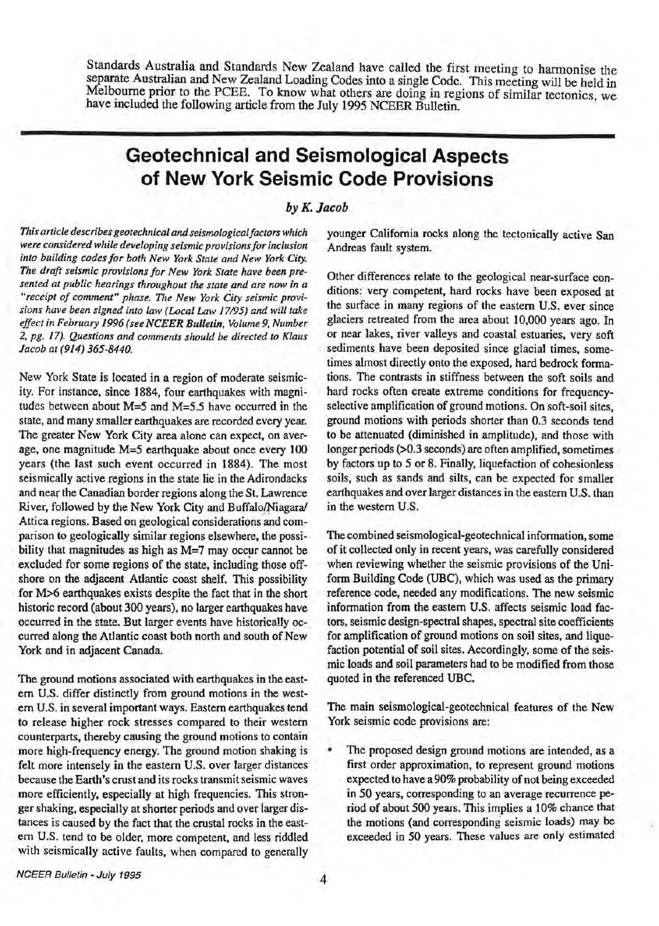Standards Australia and Standards New Zealand have called the first meeting to harmonise the separate Australian and New Zealand Loading Codes into a single Code. This meeting will be held in Melbourne prior to the PCEE. To know what others are doing in regions of similar tectonics, we have included the following article from the July 1995 NCEER Bulletin.

# **Geotechnical and Seismological Aspects of New York Seismic Code Provisions**

# *byK. Jacob*

*This article describes geotechnical and seismological factors which were considered while developing seismic provisions for inclusion into building codes for both New York State and New York City. The draft seismic provisions for New York State have been presented at public hearings throughout the state and are now in a "receipt of comment" phase. The New York City seismic provisions have been signed into law (Local Law 17195) and will take effect in February 1996 (seeNCEER Bulletin, Volume 9, Number 2, pg. 17). Questions and comments should be directed to Klaus Jacob at (914) 365-8440.* 

New York State is located in a region of moderate seismicity. For instance, since 1884, four earthquakes with magnitudes between about M=5 and M=5.5 have occurred in the state, and many smaller earthquakes are recorded every year. The greater New York City area alone can expect, on average, one magnitude M=5 earthquake about once every 100 years (the last such event occurred in 1884). The most seismically active regions in the state lie in the Adirondacks and near the Canadian border regions along the St. Lawrence River, followed by the New York City and Buffalo/Niagara/ Attica regions. Based on geological considerations and comparison to geologically similar regions elsewhere, the possibility that magnitudes as high as  $M=7$  may occur cannot be excluded for some regions of the state, including those offshore on the adjacent Atlantic coast shelf. This possibility for M>6 earthquakes exists despite the fact that in the short historic record (about 300 years), no larger earthquakes have occurred in the state. But larger events have historically occurred along the Atlantic coast both north and south of New York and in adjacent Canada.

The ground motions associated with earthquakes in the eastem U.S. differ distinctly from ground motions in the westem U.S. in several important ways. Eastern earthquakes tend to release higher rock stresses compared to their western counterparts, thereby causing the ground motions to contain more high-frequency energy. The ground motion shaking is felt more intensely in the eastern U.S. over larger distances because the Earth's crust and its rocks transmit seismic waves more efficiently, especially at high frequencies. This stronger shaking, especially at shorter periods and over larger distances is caused by the fact that the crustal rocks in the eastem U.S. tend to be older, more competent, and less riddled with seismically active faults, when compared to generally

younger California rocks along the tectonically active San Andreas fault system.

Other differences relate to the geological near-surface conditions: very competent, hard rocks have been exposed at the surface in many regions of the eastern U.S. ever since glaciers retreated from the area about 10,000 years ago. In or near lakes, river valleys and coastal estuaries, very soft sediments have been deposited since glacial times, sometimes almost directly onto the exposed, hard bedrock formations. The contrasts in stiffness between the soft soils and hard rocks often create extreme conditions for frequencyselective amplification of ground motions. On soft-soil sites, ground motions with periods shorter than 0.3 seconds tend to be attenuated (diminished in amplitude), and those with longer periods (>0.3 seconds) are often amplified, sometimes by factors up to *5* or 8. Finally, liquefaction of cohesionless soils, such as sands and silts, can be expected for smaller earthquakes and over larger distances in the eastern U.S. than in the western U.S.

The combined seismological-geotechnical information, some of it collected only in recent years, was carefully considered when reviewing whether the seismic provisions of the Uniform Building Code (UBC), which was used as the primary reference code, needed any modifications. The new seismic information from the eastern U.S. affects seismic load factors, seismic design-spectral shapes, spectral site coefficients for amplification of ground motions on soil sites, and liquefaction potential of soil sites. Accordingly, some of the seismic loads and soil parameters had to be modified from those quoted in the referenced UBC.

The main seismological-geotechnical features of the New York seismic code provisions are:

The proposed design ground motions are intended, as a first order approximation, to represent ground motions expected to have a 90% probability of not being exceeded in 50 years, corresponding to an average recurrence period of about 500 years. This implies a 10% chance that the motions (and corresponding seismic loads) may be exceeded in 50 years. These values are only estimated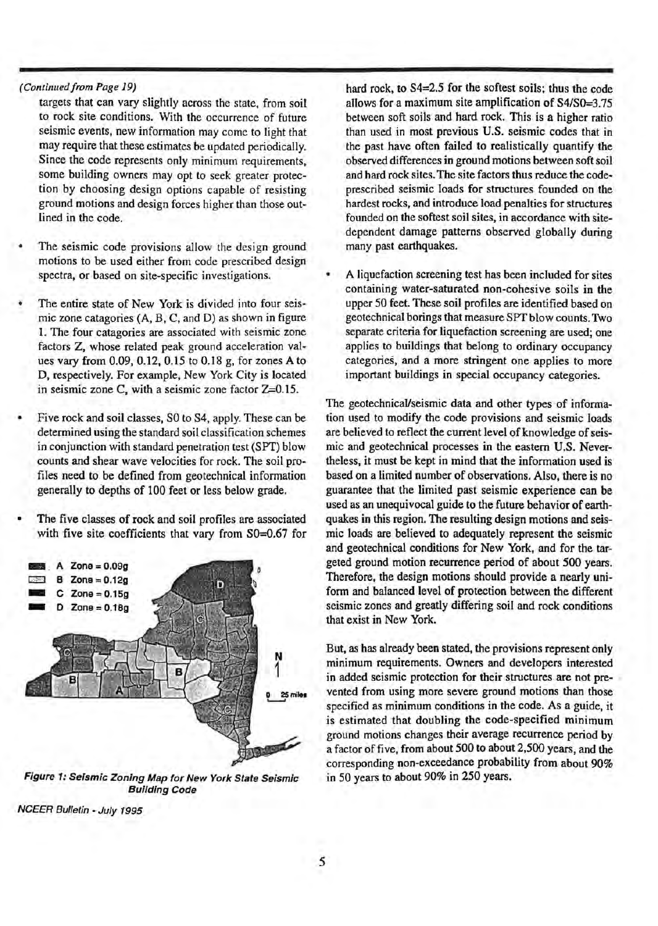#### *(Continued from Page 19)*

targets that can vary slightly across the state, from soil to rock site conditions. With the occurrence of future seismic events, new information may come to light that may require that these estimates be updated periodically. Since the code represents only minimum requirements, some building owners may opt to seek greater protection by choosing design options capable of resisting ground motions and design forces higher than those outlined in the code.

- The seismic code provisions allow the design ground motions to be used either from code prescribed design spectra, or based on site-specific investigations.
- The entire state of New York is divided into four seismic zone catagories (A, B, C, and D) as shown in figure 1. The four catagories are associated with seismic zone factors Z, whose related peak ground acceleration values vary from 0.09, 0.12, 0.15 to 0.18 g, for zones A to D, respectively. For example, New York City is located in seismic zone C, with a seismic zone factor Z=O.l5.
- Five rock and soil classes, SO to S4, apply. These can be determined using the standard soil classification schemes in conjunction with standard penetration test (SPT) blow counts and shear wave velocities for rock. The soil profiles need to be defined from geotechnical information generally to depths of 100 feet or less below grade.
- The five classes of rock and soil profiles are associated



Figure 1: Seismic Zoning Map for New York State Seismic Building Code

NCEER Bulletin - July 1995

hard rock, to S4=2.5 for the softest soils; thus the code allows for a maximum site amplification of S4/S0=3.75 between soft soils and hard rock. This is a higher ratio than used in most previous U.S. seismic codes that in the past have often failed to realistically quantify the observed differences in ground motions between soft soil and hard rock sites. The site factors thus reduce the codeprescribed seismic loads for structures founded on the hardest rocks, and introduce load penalties for structures founded on the softest soil sites, in accordance with sitedependent damage patterns observed globally during many past earthquakes.

• A liquefaction screening test has been included for sites containing water-saturated non-cohesive soils in the upper 50 feet. These soil profiles are identified based on geotechnical borings that measure SPT blow counts. Two separate criteria for liquefaction screening are used; one applies to buildings that belong to ordinary occupancy categories, and a more stringent one applies to more important buildings in special occupancy categories.

The geotechnical/seismic data and other types of information used to modify the code provisions and seismic loads are believed to reflect the current level of know ledge of seismic and geotechnical processes in the eastern U.S. Nevertheless, it must be kept in mind that the information used is based on a limited number of observations. Also, there is no guarantee that the limited past seismic experience can be used as an unequivocal guide to the future behavior of earthquakes in this region. The resulting design motions and seismic loads are believed to adequately represent the seismic and geotechnical conditions for New York, and for the targeted ground motion recurrence period of about 500 years. Therefore, the design motions should provide a nearly uniform and balanced level of protection between the different seismic zones and greatly differing soil and rock conditions that exist in New York.

But, as has already been stated, the provisions represent only minimum requirements. Owners and developers interested in added seismic protection for their structures are not prevented from using more severe ground motions than those specified as minimum conditions in the code. As a guide, it is estimated that doubling the code-specified minimum ground motions changes their average recurrence period by a factor of five, from about 500 to about 2,500 years, and the corresponding non-exceedance probability from about 90% in 50 years to about 90% in 250 years.